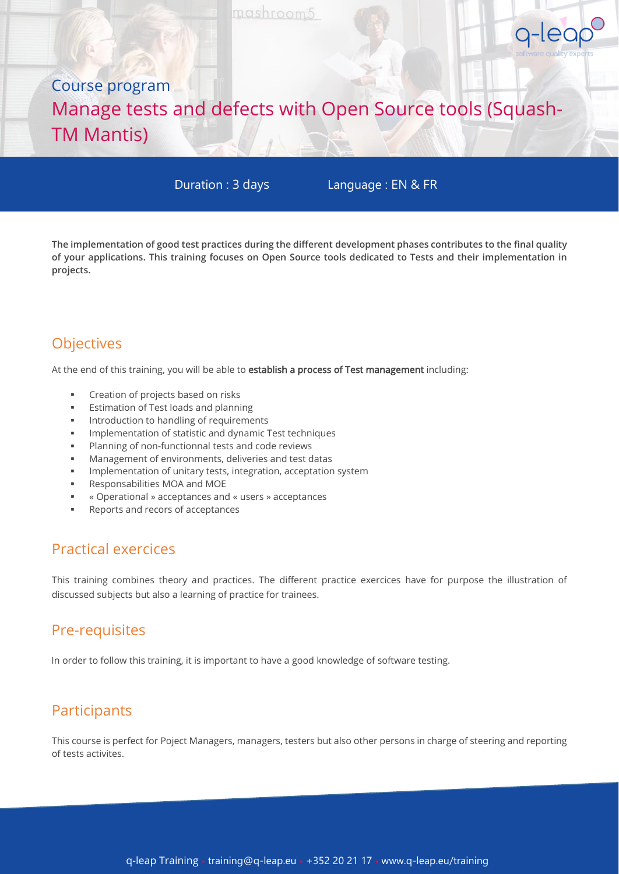# Course program Manage tests and defects with Open Source tools (Squash-TM Mantis)

Duration : 3 days

Language : EN & FR

g-leap

**The implementation of good test practices during the different development phases contributes to the final quality of your applications. This training focuses on Open Source tools dedicated to Tests and their implementation in projects.**

# **Objectives**

At the end of this training, you will be able to establish a process of Test management including:

- Creation of projects based on risks
- **Estimation of Test loads and planning**
- Introduction to handling of requirements
- Implementation of statistic and dynamic Test techniques
- Planning of non-functionnal tests and code reviews
- Management of environments, deliveries and test datas
- Implementation of unitary tests, integration, acceptation system
- Responsabilities MOA and MOE
- « Operational » acceptances and « users » acceptances
- Reports and recors of acceptances

### Practical exercices

This training combines theory and practices. The different practice exercices have for purpose the illustration of discussed subjects but also a learning of practice for trainees.

# Pre-requisites

In order to follow this training, it is important to have a good knowledge of software testing.

# **Participants**

This course is perfect for Poject Managers, managers, testers but also other persons in charge of steering and reporting of tests activites.